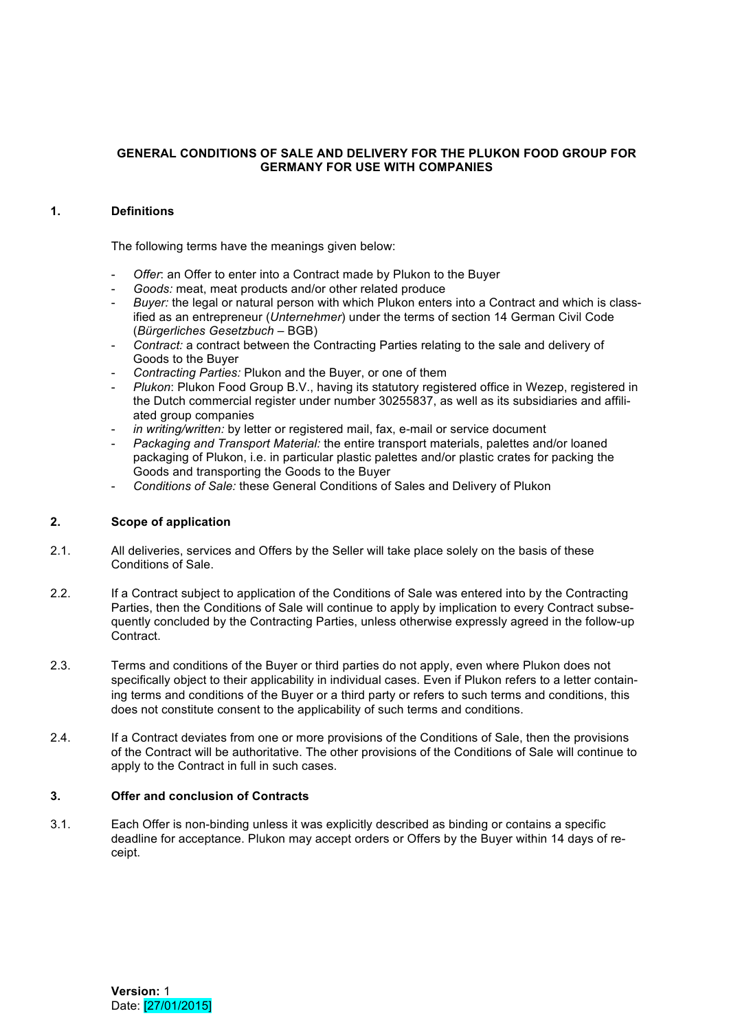# **GENERAL CONDITIONS OF SALE AND DELIVERY FOR THE PLUKON FOOD GROUP FOR GERMANY FOR USE WITH COMPANIES**

# **1. Definitions**

The following terms have the meanings given below:

- Offer: an Offer to enter into a Contract made by Plukon to the Buyer
- *Goods:* meat, meat products and/or other related produce
- Buyer: the legal or natural person with which Plukon enters into a Contract and which is classified as an entrepreneur (*Unternehmer*) under the terms of section 14 German Civil Code (*Bürgerliches Gesetzbuch* – BGB)
- *Contract:* a contract between the Contracting Parties relating to the sale and delivery of Goods to the Buyer
- *Contracting Parties:* Plukon and the Buyer, or one of them
- *Plukon*: Plukon Food Group B.V., having its statutory registered office in Wezep, registered in the Dutch commercial register under number 30255837, as well as its subsidiaries and affiliated group companies
- in writing/written: by letter or registered mail, fax, e-mail or service document
- *Packaging and Transport Material:* the entire transport materials, palettes and/or loaned packaging of Plukon, i.e. in particular plastic palettes and/or plastic crates for packing the Goods and transporting the Goods to the Buyer
- *Conditions of Sale:* these General Conditions of Sales and Delivery of Plukon

# **2. Scope of application**

- 2.1. All deliveries, services and Offers by the Seller will take place solely on the basis of these Conditions of Sale.
- 2.2. If a Contract subject to application of the Conditions of Sale was entered into by the Contracting Parties, then the Conditions of Sale will continue to apply by implication to every Contract subsequently concluded by the Contracting Parties, unless otherwise expressly agreed in the follow-up Contract.
- 2.3. Terms and conditions of the Buyer or third parties do not apply, even where Plukon does not specifically object to their applicability in individual cases. Even if Plukon refers to a letter containing terms and conditions of the Buyer or a third party or refers to such terms and conditions, this does not constitute consent to the applicability of such terms and conditions.
- 2.4. If a Contract deviates from one or more provisions of the Conditions of Sale, then the provisions of the Contract will be authoritative. The other provisions of the Conditions of Sale will continue to apply to the Contract in full in such cases.

# **3. Offer and conclusion of Contracts**

3.1. Each Offer is non-binding unless it was explicitly described as binding or contains a specific deadline for acceptance. Plukon may accept orders or Offers by the Buyer within 14 days of receipt.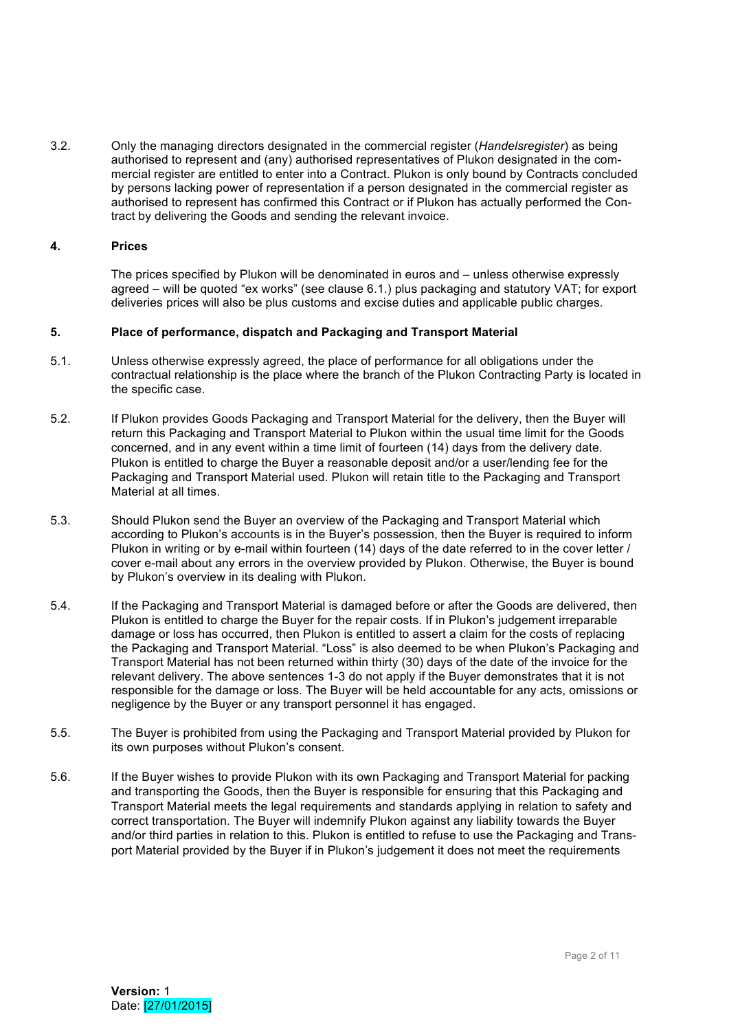3.2. Only the managing directors designated in the commercial register (*Handelsregister*) as being authorised to represent and (any) authorised representatives of Plukon designated in the commercial register are entitled to enter into a Contract. Plukon is only bound by Contracts concluded by persons lacking power of representation if a person designated in the commercial register as authorised to represent has confirmed this Contract or if Plukon has actually performed the Contract by delivering the Goods and sending the relevant invoice.

### **4. Prices**

The prices specified by Plukon will be denominated in euros and – unless otherwise expressly agreed – will be quoted "ex works" (see clause 6.1.) plus packaging and statutory VAT; for export deliveries prices will also be plus customs and excise duties and applicable public charges.

#### **5. Place of performance, dispatch and Packaging and Transport Material**

- 5.1. Unless otherwise expressly agreed, the place of performance for all obligations under the contractual relationship is the place where the branch of the Plukon Contracting Party is located in the specific case.
- 5.2. If Plukon provides Goods Packaging and Transport Material for the delivery, then the Buyer will return this Packaging and Transport Material to Plukon within the usual time limit for the Goods concerned, and in any event within a time limit of fourteen (14) days from the delivery date. Plukon is entitled to charge the Buyer a reasonable deposit and/or a user/lending fee for the Packaging and Transport Material used. Plukon will retain title to the Packaging and Transport Material at all times.
- 5.3. Should Plukon send the Buyer an overview of the Packaging and Transport Material which according to Plukon's accounts is in the Buyer's possession, then the Buyer is required to inform Plukon in writing or by e-mail within fourteen (14) days of the date referred to in the cover letter / cover e-mail about any errors in the overview provided by Plukon. Otherwise, the Buyer is bound by Plukon's overview in its dealing with Plukon.
- 5.4. If the Packaging and Transport Material is damaged before or after the Goods are delivered, then Plukon is entitled to charge the Buyer for the repair costs. If in Plukon's judgement irreparable damage or loss has occurred, then Plukon is entitled to assert a claim for the costs of replacing the Packaging and Transport Material. "Loss" is also deemed to be when Plukon's Packaging and Transport Material has not been returned within thirty (30) days of the date of the invoice for the relevant delivery. The above sentences 1-3 do not apply if the Buyer demonstrates that it is not responsible for the damage or loss. The Buyer will be held accountable for any acts, omissions or negligence by the Buyer or any transport personnel it has engaged.
- 5.5. The Buyer is prohibited from using the Packaging and Transport Material provided by Plukon for its own purposes without Plukon's consent.
- 5.6. If the Buyer wishes to provide Plukon with its own Packaging and Transport Material for packing and transporting the Goods, then the Buyer is responsible for ensuring that this Packaging and Transport Material meets the legal requirements and standards applying in relation to safety and correct transportation. The Buyer will indemnify Plukon against any liability towards the Buyer and/or third parties in relation to this. Plukon is entitled to refuse to use the Packaging and Transport Material provided by the Buyer if in Plukon's judgement it does not meet the requirements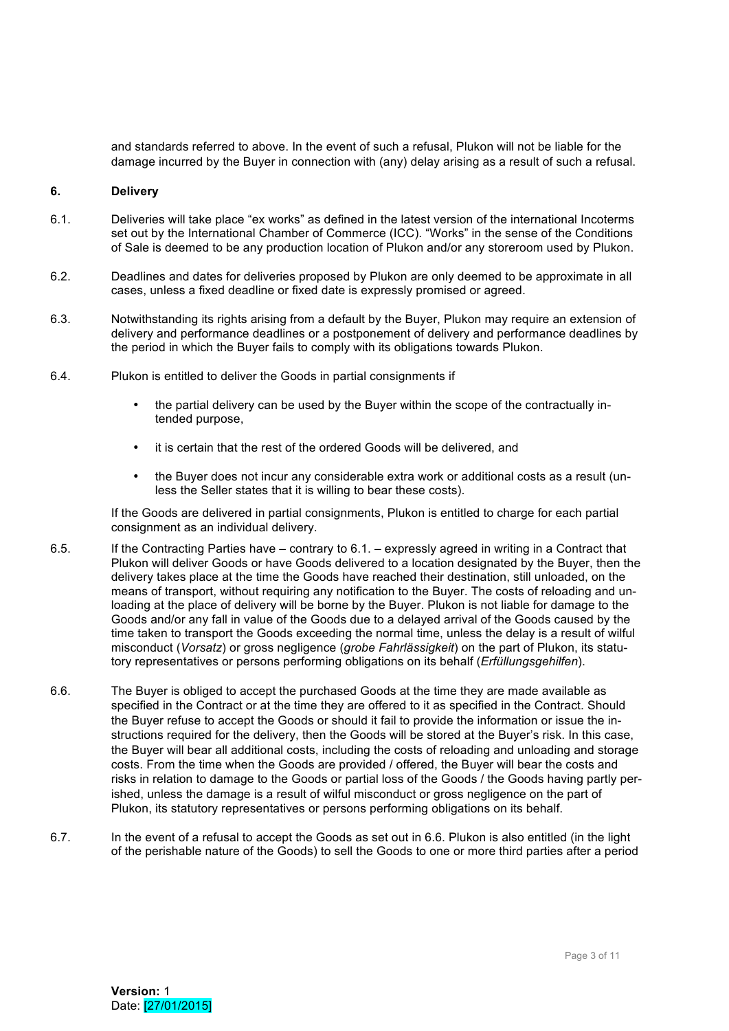and standards referred to above. In the event of such a refusal, Plukon will not be liable for the damage incurred by the Buyer in connection with (any) delay arising as a result of such a refusal.

#### **6. Delivery**

- 6.1. Deliveries will take place "ex works" as defined in the latest version of the international Incoterms set out by the International Chamber of Commerce (ICC). "Works" in the sense of the Conditions of Sale is deemed to be any production location of Plukon and/or any storeroom used by Plukon.
- 6.2. Deadlines and dates for deliveries proposed by Plukon are only deemed to be approximate in all cases, unless a fixed deadline or fixed date is expressly promised or agreed.
- 6.3. Notwithstanding its rights arising from a default by the Buyer, Plukon may require an extension of delivery and performance deadlines or a postponement of delivery and performance deadlines by the period in which the Buyer fails to comply with its obligations towards Plukon.
- 6.4. Plukon is entitled to deliver the Goods in partial consignments if
	- the partial delivery can be used by the Buyer within the scope of the contractually intended purpose,
	- it is certain that the rest of the ordered Goods will be delivered, and
	- the Buyer does not incur any considerable extra work or additional costs as a result (unless the Seller states that it is willing to bear these costs).

If the Goods are delivered in partial consignments, Plukon is entitled to charge for each partial consignment as an individual delivery.

- 6.5. If the Contracting Parties have contrary to 6.1. expressly agreed in writing in a Contract that Plukon will deliver Goods or have Goods delivered to a location designated by the Buyer, then the delivery takes place at the time the Goods have reached their destination, still unloaded, on the means of transport, without requiring any notification to the Buyer. The costs of reloading and unloading at the place of delivery will be borne by the Buyer. Plukon is not liable for damage to the Goods and/or any fall in value of the Goods due to a delayed arrival of the Goods caused by the time taken to transport the Goods exceeding the normal time, unless the delay is a result of wilful misconduct (*Vorsatz*) or gross negligence (*grobe Fahrlässigkeit*) on the part of Plukon, its statutory representatives or persons performing obligations on its behalf (*Erfüllungsgehilfen*).
- 6.6. The Buyer is obliged to accept the purchased Goods at the time they are made available as specified in the Contract or at the time they are offered to it as specified in the Contract. Should the Buyer refuse to accept the Goods or should it fail to provide the information or issue the instructions required for the delivery, then the Goods will be stored at the Buyer's risk. In this case, the Buyer will bear all additional costs, including the costs of reloading and unloading and storage costs. From the time when the Goods are provided / offered, the Buyer will bear the costs and risks in relation to damage to the Goods or partial loss of the Goods / the Goods having partly perished, unless the damage is a result of wilful misconduct or gross negligence on the part of Plukon, its statutory representatives or persons performing obligations on its behalf.
- 6.7. In the event of a refusal to accept the Goods as set out in 6.6. Plukon is also entitled (in the light of the perishable nature of the Goods) to sell the Goods to one or more third parties after a period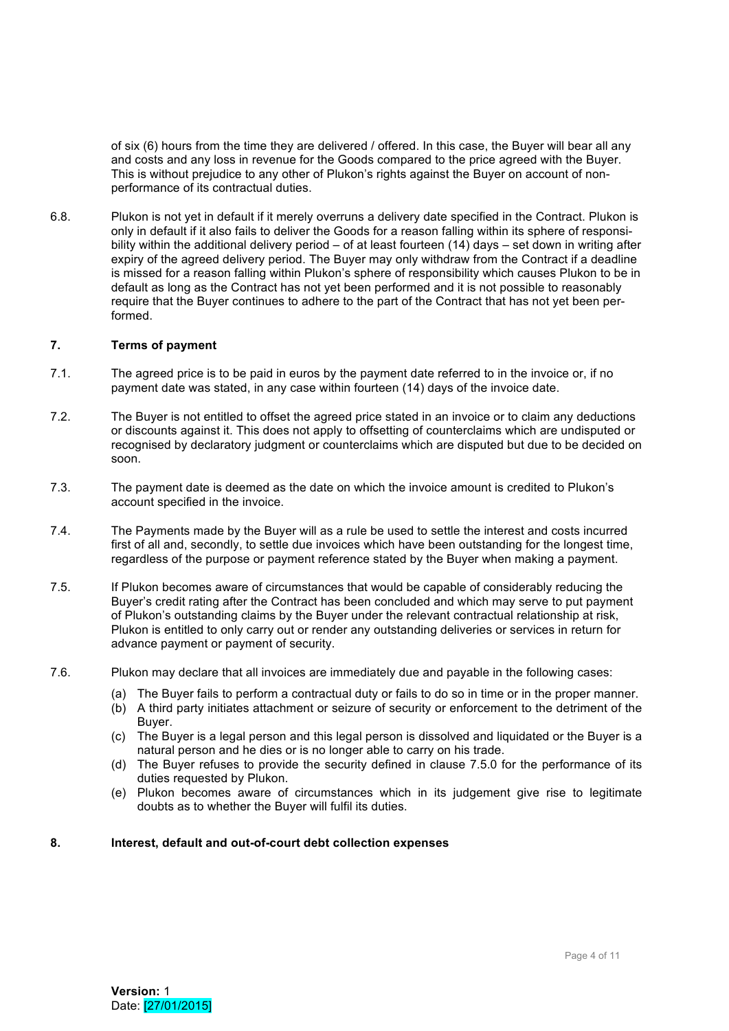of six (6) hours from the time they are delivered / offered. In this case, the Buyer will bear all any and costs and any loss in revenue for the Goods compared to the price agreed with the Buyer. This is without prejudice to any other of Plukon's rights against the Buyer on account of nonperformance of its contractual duties.

6.8. Plukon is not yet in default if it merely overruns a delivery date specified in the Contract. Plukon is only in default if it also fails to deliver the Goods for a reason falling within its sphere of responsibility within the additional delivery period – of at least fourteen (14) days – set down in writing after expiry of the agreed delivery period. The Buyer may only withdraw from the Contract if a deadline is missed for a reason falling within Plukon's sphere of responsibility which causes Plukon to be in default as long as the Contract has not yet been performed and it is not possible to reasonably require that the Buyer continues to adhere to the part of the Contract that has not yet been performed.

#### **7. Terms of payment**

- 7.1. The agreed price is to be paid in euros by the payment date referred to in the invoice or, if no payment date was stated, in any case within fourteen (14) days of the invoice date.
- 7.2. The Buyer is not entitled to offset the agreed price stated in an invoice or to claim any deductions or discounts against it. This does not apply to offsetting of counterclaims which are undisputed or recognised by declaratory judgment or counterclaims which are disputed but due to be decided on soon.
- 7.3. The payment date is deemed as the date on which the invoice amount is credited to Plukon's account specified in the invoice.
- 7.4. The Payments made by the Buyer will as a rule be used to settle the interest and costs incurred first of all and, secondly, to settle due invoices which have been outstanding for the longest time, regardless of the purpose or payment reference stated by the Buyer when making a payment.
- 7.5. If Plukon becomes aware of circumstances that would be capable of considerably reducing the Buyer's credit rating after the Contract has been concluded and which may serve to put payment of Plukon's outstanding claims by the Buyer under the relevant contractual relationship at risk, Plukon is entitled to only carry out or render any outstanding deliveries or services in return for advance payment or payment of security.
- 7.6. Plukon may declare that all invoices are immediately due and payable in the following cases:
	- (a) The Buyer fails to perform a contractual duty or fails to do so in time or in the proper manner.
	- (b) A third party initiates attachment or seizure of security or enforcement to the detriment of the Buyer.
	- (c) The Buyer is a legal person and this legal person is dissolved and liquidated or the Buyer is a natural person and he dies or is no longer able to carry on his trade.
	- (d) The Buyer refuses to provide the security defined in clause 7.5.0 for the performance of its duties requested by Plukon.
	- (e) Plukon becomes aware of circumstances which in its judgement give rise to legitimate doubts as to whether the Buyer will fulfil its duties.

### **8. Interest, default and out-of-court debt collection expenses**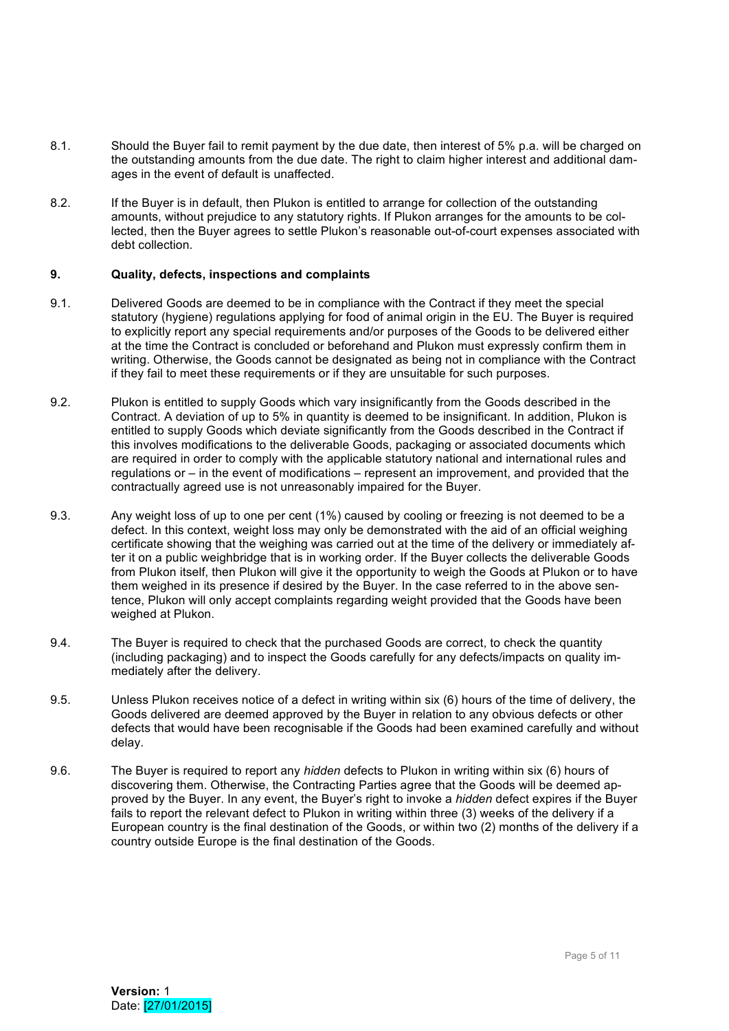- 8.1. Should the Buyer fail to remit payment by the due date, then interest of 5% p.a. will be charged on the outstanding amounts from the due date. The right to claim higher interest and additional damages in the event of default is unaffected.
- 8.2. If the Buyer is in default, then Plukon is entitled to arrange for collection of the outstanding amounts, without prejudice to any statutory rights. If Plukon arranges for the amounts to be collected, then the Buyer agrees to settle Plukon's reasonable out-of-court expenses associated with debt collection.

### **9. Quality, defects, inspections and complaints**

- 9.1. Delivered Goods are deemed to be in compliance with the Contract if they meet the special statutory (hygiene) regulations applying for food of animal origin in the EU. The Buyer is required to explicitly report any special requirements and/or purposes of the Goods to be delivered either at the time the Contract is concluded or beforehand and Plukon must expressly confirm them in writing. Otherwise, the Goods cannot be designated as being not in compliance with the Contract if they fail to meet these requirements or if they are unsuitable for such purposes.
- 9.2. Plukon is entitled to supply Goods which vary insignificantly from the Goods described in the Contract. A deviation of up to 5% in quantity is deemed to be insignificant. In addition, Plukon is entitled to supply Goods which deviate significantly from the Goods described in the Contract if this involves modifications to the deliverable Goods, packaging or associated documents which are required in order to comply with the applicable statutory national and international rules and regulations or – in the event of modifications – represent an improvement, and provided that the contractually agreed use is not unreasonably impaired for the Buyer.
- 9.3. Any weight loss of up to one per cent (1%) caused by cooling or freezing is not deemed to be a defect. In this context, weight loss may only be demonstrated with the aid of an official weighing certificate showing that the weighing was carried out at the time of the delivery or immediately after it on a public weighbridge that is in working order. If the Buyer collects the deliverable Goods from Plukon itself, then Plukon will give it the opportunity to weigh the Goods at Plukon or to have them weighed in its presence if desired by the Buyer. In the case referred to in the above sentence, Plukon will only accept complaints regarding weight provided that the Goods have been weighed at Plukon.
- 9.4. The Buyer is required to check that the purchased Goods are correct, to check the quantity (including packaging) and to inspect the Goods carefully for any defects/impacts on quality immediately after the delivery.
- 9.5. Unless Plukon receives notice of a defect in writing within six (6) hours of the time of delivery, the Goods delivered are deemed approved by the Buyer in relation to any obvious defects or other defects that would have been recognisable if the Goods had been examined carefully and without delay.
- 9.6. The Buyer is required to report any *hidden* defects to Plukon in writing within six (6) hours of discovering them. Otherwise, the Contracting Parties agree that the Goods will be deemed approved by the Buyer. In any event, the Buyer's right to invoke a *hidden* defect expires if the Buyer fails to report the relevant defect to Plukon in writing within three (3) weeks of the delivery if a European country is the final destination of the Goods, or within two (2) months of the delivery if a country outside Europe is the final destination of the Goods.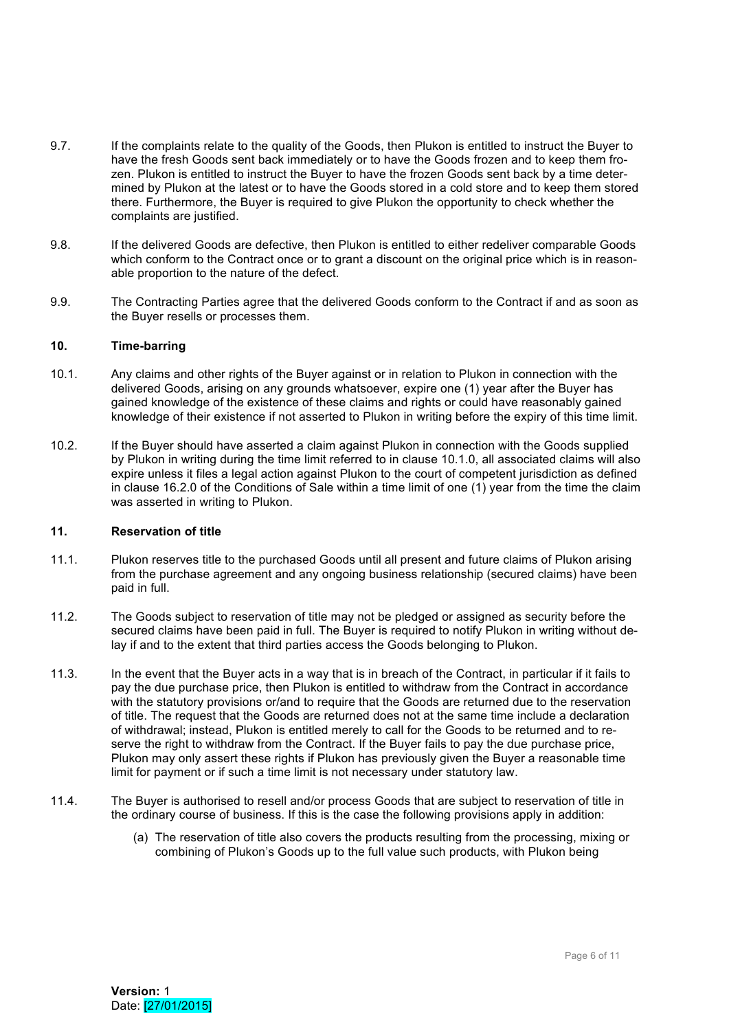- 9.7. If the complaints relate to the quality of the Goods, then Plukon is entitled to instruct the Buyer to have the fresh Goods sent back immediately or to have the Goods frozen and to keep them frozen. Plukon is entitled to instruct the Buyer to have the frozen Goods sent back by a time determined by Plukon at the latest or to have the Goods stored in a cold store and to keep them stored there. Furthermore, the Buyer is required to give Plukon the opportunity to check whether the complaints are justified.
- 9.8. If the delivered Goods are defective, then Plukon is entitled to either redeliver comparable Goods which conform to the Contract once or to grant a discount on the original price which is in reasonable proportion to the nature of the defect.
- 9.9. The Contracting Parties agree that the delivered Goods conform to the Contract if and as soon as the Buyer resells or processes them.

# **10. Time-barring**

- 10.1. Any claims and other rights of the Buyer against or in relation to Plukon in connection with the delivered Goods, arising on any grounds whatsoever, expire one (1) year after the Buyer has gained knowledge of the existence of these claims and rights or could have reasonably gained knowledge of their existence if not asserted to Plukon in writing before the expiry of this time limit.
- 10.2. If the Buyer should have asserted a claim against Plukon in connection with the Goods supplied by Plukon in writing during the time limit referred to in clause 10.1.0, all associated claims will also expire unless it files a legal action against Plukon to the court of competent jurisdiction as defined in clause 16.2.0 of the Conditions of Sale within a time limit of one (1) year from the time the claim was asserted in writing to Plukon.

### **11. Reservation of title**

- 11.1. Plukon reserves title to the purchased Goods until all present and future claims of Plukon arising from the purchase agreement and any ongoing business relationship (secured claims) have been paid in full.
- 11.2. The Goods subject to reservation of title may not be pledged or assigned as security before the secured claims have been paid in full. The Buyer is required to notify Plukon in writing without delay if and to the extent that third parties access the Goods belonging to Plukon.
- 11.3. In the event that the Buyer acts in a way that is in breach of the Contract, in particular if it fails to pay the due purchase price, then Plukon is entitled to withdraw from the Contract in accordance with the statutory provisions or/and to require that the Goods are returned due to the reservation of title. The request that the Goods are returned does not at the same time include a declaration of withdrawal; instead, Plukon is entitled merely to call for the Goods to be returned and to reserve the right to withdraw from the Contract. If the Buyer fails to pay the due purchase price, Plukon may only assert these rights if Plukon has previously given the Buyer a reasonable time limit for payment or if such a time limit is not necessary under statutory law.
- 11.4. The Buyer is authorised to resell and/or process Goods that are subject to reservation of title in the ordinary course of business. If this is the case the following provisions apply in addition:
	- (a) The reservation of title also covers the products resulting from the processing, mixing or combining of Plukon's Goods up to the full value such products, with Plukon being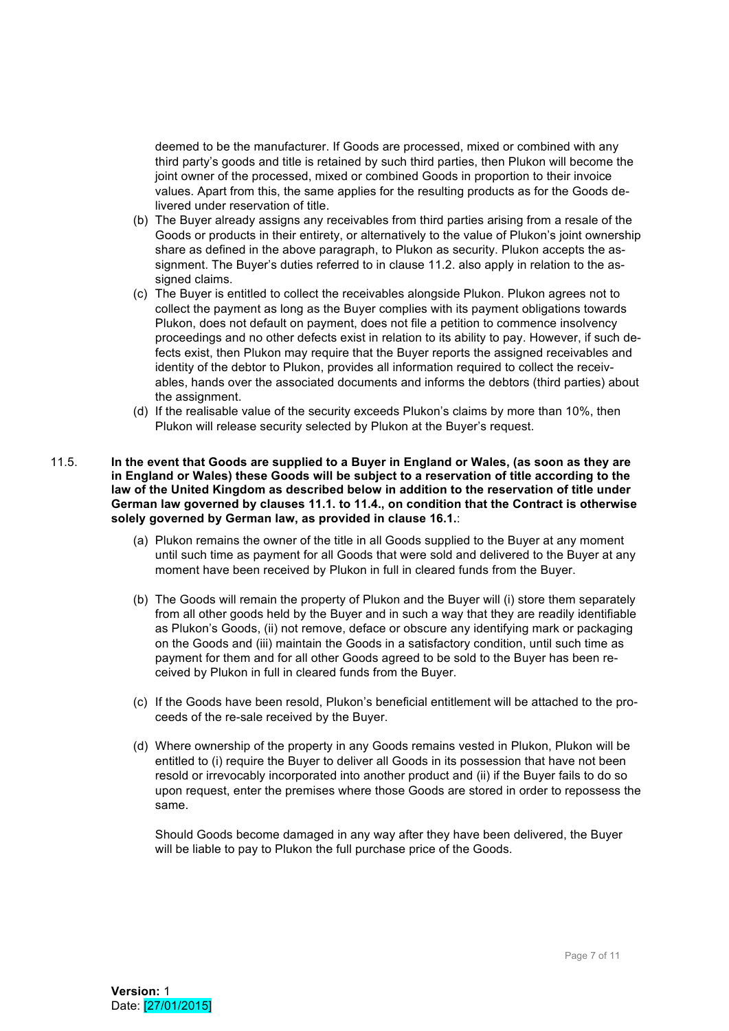deemed to be the manufacturer. If Goods are processed, mixed or combined with any third party's goods and title is retained by such third parties, then Plukon will become the joint owner of the processed, mixed or combined Goods in proportion to their invoice values. Apart from this, the same applies for the resulting products as for the Goods delivered under reservation of title.

- (b) The Buyer already assigns any receivables from third parties arising from a resale of the Goods or products in their entirety, or alternatively to the value of Plukon's joint ownership share as defined in the above paragraph, to Plukon as security. Plukon accepts the assignment. The Buyer's duties referred to in clause 11.2. also apply in relation to the assigned claims.
- (c) The Buyer is entitled to collect the receivables alongside Plukon. Plukon agrees not to collect the payment as long as the Buyer complies with its payment obligations towards Plukon, does not default on payment, does not file a petition to commence insolvency proceedings and no other defects exist in relation to its ability to pay. However, if such defects exist, then Plukon may require that the Buyer reports the assigned receivables and identity of the debtor to Plukon, provides all information required to collect the receivables, hands over the associated documents and informs the debtors (third parties) about the assignment.
- (d) If the realisable value of the security exceeds Plukon's claims by more than 10%, then Plukon will release security selected by Plukon at the Buyer's request.

### 11.5. **In the event that Goods are supplied to a Buyer in England or Wales, (as soon as they are in England or Wales) these Goods will be subject to a reservation of title according to the law of the United Kingdom as described below in addition to the reservation of title under German law governed by clauses 11.1. to 11.4., on condition that the Contract is otherwise solely governed by German law, as provided in clause 16.1.**:

- (a) Plukon remains the owner of the title in all Goods supplied to the Buyer at any moment until such time as payment for all Goods that were sold and delivered to the Buyer at any moment have been received by Plukon in full in cleared funds from the Buyer.
- (b) The Goods will remain the property of Plukon and the Buyer will (i) store them separately from all other goods held by the Buyer and in such a way that they are readily identifiable as Plukon's Goods, (ii) not remove, deface or obscure any identifying mark or packaging on the Goods and (iii) maintain the Goods in a satisfactory condition, until such time as payment for them and for all other Goods agreed to be sold to the Buyer has been received by Plukon in full in cleared funds from the Buyer.
- (c) If the Goods have been resold, Plukon's beneficial entitlement will be attached to the proceeds of the re-sale received by the Buyer.
- (d) Where ownership of the property in any Goods remains vested in Plukon, Plukon will be entitled to (i) require the Buyer to deliver all Goods in its possession that have not been resold or irrevocably incorporated into another product and (ii) if the Buyer fails to do so upon request, enter the premises where those Goods are stored in order to repossess the same.

Should Goods become damaged in any way after they have been delivered, the Buyer will be liable to pay to Plukon the full purchase price of the Goods.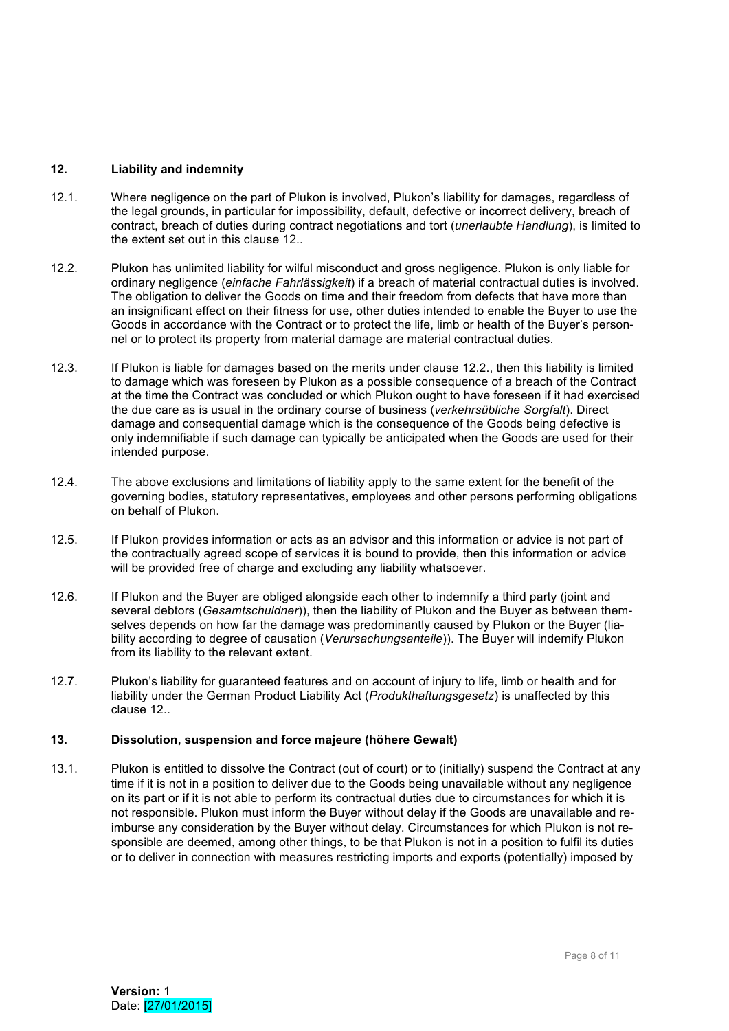# **12. Liability and indemnity**

- 12.1. Where negligence on the part of Plukon is involved, Plukon's liability for damages, regardless of the legal grounds, in particular for impossibility, default, defective or incorrect delivery, breach of contract, breach of duties during contract negotiations and tort (*unerlaubte Handlung*), is limited to the extent set out in this clause 12..
- 12.2. Plukon has unlimited liability for wilful misconduct and gross negligence. Plukon is only liable for ordinary negligence (*einfache Fahrlässigkeit*) if a breach of material contractual duties is involved. The obligation to deliver the Goods on time and their freedom from defects that have more than an insignificant effect on their fitness for use, other duties intended to enable the Buyer to use the Goods in accordance with the Contract or to protect the life, limb or health of the Buyer's personnel or to protect its property from material damage are material contractual duties.
- 12.3. If Plukon is liable for damages based on the merits under clause 12.2., then this liability is limited to damage which was foreseen by Plukon as a possible consequence of a breach of the Contract at the time the Contract was concluded or which Plukon ought to have foreseen if it had exercised the due care as is usual in the ordinary course of business (*verkehrsübliche Sorgfalt*). Direct damage and consequential damage which is the consequence of the Goods being defective is only indemnifiable if such damage can typically be anticipated when the Goods are used for their intended purpose.
- 12.4. The above exclusions and limitations of liability apply to the same extent for the benefit of the governing bodies, statutory representatives, employees and other persons performing obligations on behalf of Plukon.
- 12.5. If Plukon provides information or acts as an advisor and this information or advice is not part of the contractually agreed scope of services it is bound to provide, then this information or advice will be provided free of charge and excluding any liability whatsoever.
- 12.6. If Plukon and the Buyer are obliged alongside each other to indemnify a third party (joint and several debtors (*Gesamtschuldner*)), then the liability of Plukon and the Buyer as between themselves depends on how far the damage was predominantly caused by Plukon or the Buyer (liability according to degree of causation (*Verursachungsanteile*)). The Buyer will indemify Plukon from its liability to the relevant extent.
- 12.7. Plukon's liability for guaranteed features and on account of injury to life, limb or health and for liability under the German Product Liability Act (*Produkthaftungsgesetz*) is unaffected by this clause 12..

### **13. Dissolution, suspension and force majeure (höhere Gewalt)**

13.1. Plukon is entitled to dissolve the Contract (out of court) or to (initially) suspend the Contract at any time if it is not in a position to deliver due to the Goods being unavailable without any negligence on its part or if it is not able to perform its contractual duties due to circumstances for which it is not responsible. Plukon must inform the Buyer without delay if the Goods are unavailable and reimburse any consideration by the Buyer without delay. Circumstances for which Plukon is not responsible are deemed, among other things, to be that Plukon is not in a position to fulfil its duties or to deliver in connection with measures restricting imports and exports (potentially) imposed by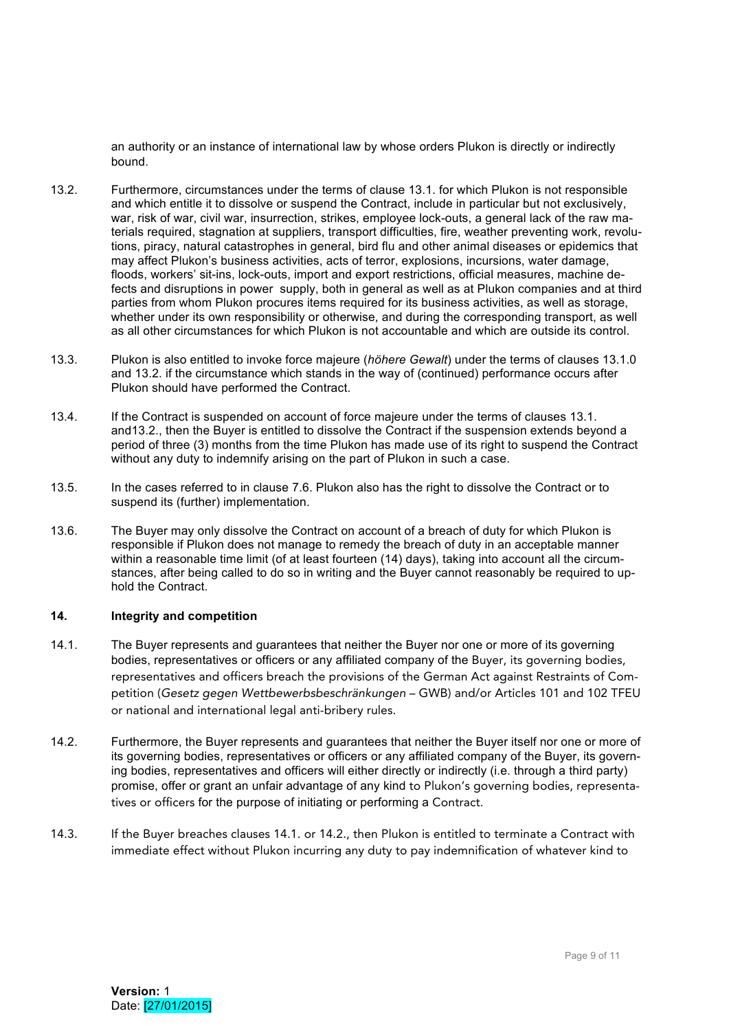an authority or an instance of international law by whose orders Plukon is directly or indirectly bound.

- 13.2. Furthermore, circumstances under the terms of clause 13.1. for which Plukon is not responsible and which entitle it to dissolve or suspend the Contract, include in particular but not exclusively, war, risk of war, civil war, insurrection, strikes, employee lock-outs, a general lack of the raw materials required, stagnation at suppliers, transport difficulties, fire, weather preventing work, revolutions, piracy, natural catastrophes in general, bird flu and other animal diseases or epidemics that may affect Plukon's business activities, acts of terror, explosions, incursions, water damage, floods, workers' sit-ins, lock-outs, import and export restrictions, official measures, machine defects and disruptions in power supply, both in general as well as at Plukon companies and at third parties from whom Plukon procures items required for its business activities, as well as storage, whether under its own responsibility or otherwise, and during the corresponding transport, as well as all other circumstances for which Plukon is not accountable and which are outside its control.
- 13.3. Plukon is also entitled to invoke force majeure (*höhere Gewalt*) under the terms of clauses 13.1.0 and 13.2. if the circumstance which stands in the way of (continued) performance occurs after Plukon should have performed the Contract.
- 13.4. If the Contract is suspended on account of force majeure under the terms of clauses 13.1. and13.2., then the Buyer is entitled to dissolve the Contract if the suspension extends beyond a period of three (3) months from the time Plukon has made use of its right to suspend the Contract without any duty to indemnify arising on the part of Plukon in such a case.
- 13.5. In the cases referred to in clause 7.6. Plukon also has the right to dissolve the Contract or to suspend its (further) implementation.
- 13.6. The Buyer may only dissolve the Contract on account of a breach of duty for which Plukon is responsible if Plukon does not manage to remedy the breach of duty in an acceptable manner within a reasonable time limit (of at least fourteen (14) days), taking into account all the circumstances, after being called to do so in writing and the Buyer cannot reasonably be required to uphold the Contract.

# **14. Integrity and competition**

- 14.1. The Buyer represents and guarantees that neither the Buyer nor one or more of its governing bodies, representatives or officers or any affiliated company of the Buyer, its governing bodies, representatives and officers breach the provisions of the German Act against Restraints of Competition (*Gesetz gegen Wettbewerbsbeschränkungen* – GWB) and/or Articles 101 and 102 TFEU or national and international legal anti-bribery rules.
- 14.2. Furthermore, the Buyer represents and guarantees that neither the Buyer itself nor one or more of its governing bodies, representatives or officers or any affiliated company of the Buyer, its governing bodies, representatives and officers will either directly or indirectly (i.e. through a third party) promise, offer or grant an unfair advantage of any kind to Plukon's governing bodies, representatives or officers for the purpose of initiating or performing a Contract.
- 14.3. If the Buyer breaches clauses 14.1. or 14.2., then Plukon is entitled to terminate a Contract with immediate effect without Plukon incurring any duty to pay indemnification of whatever kind to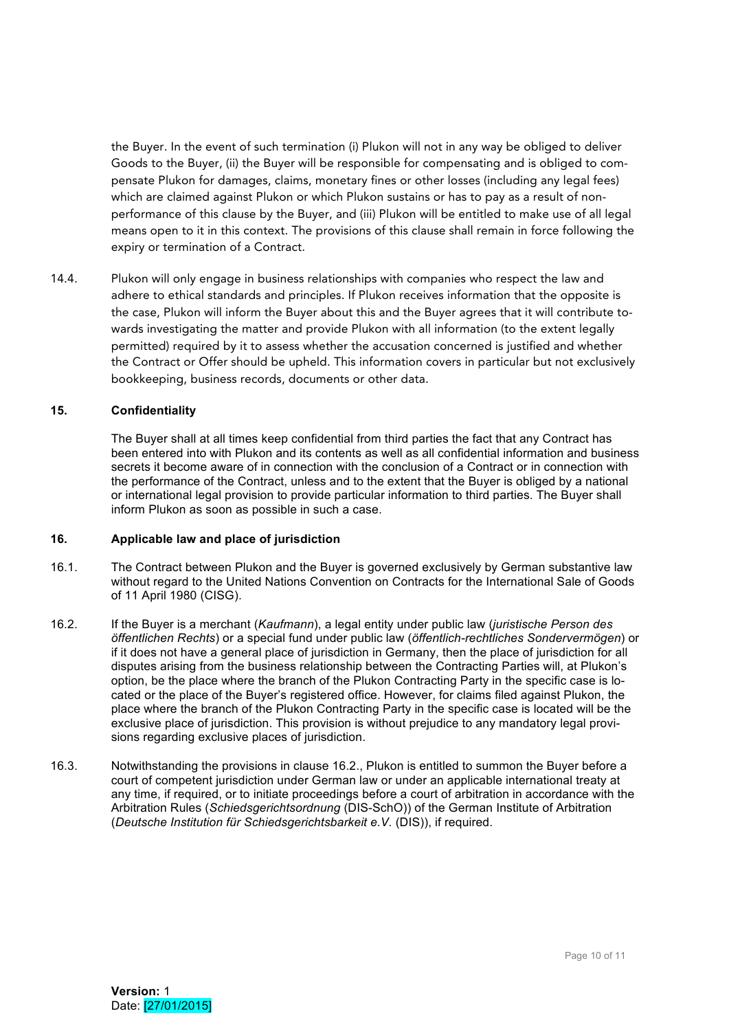the Buyer. In the event of such termination (i) Plukon will not in any way be obliged to deliver Goods to the Buyer, (ii) the Buyer will be responsible for compensating and is obliged to compensate Plukon for damages, claims, monetary fines or other losses (including any legal fees) which are claimed against Plukon or which Plukon sustains or has to pay as a result of nonperformance of this clause by the Buyer, and (iii) Plukon will be entitled to make use of all legal means open to it in this context. The provisions of this clause shall remain in force following the expiry or termination of a Contract.

14.4. Plukon will only engage in business relationships with companies who respect the law and adhere to ethical standards and principles. If Plukon receives information that the opposite is the case, Plukon will inform the Buyer about this and the Buyer agrees that it will contribute towards investigating the matter and provide Plukon with all information (to the extent legally permitted) required by it to assess whether the accusation concerned is justified and whether the Contract or Offer should be upheld. This information covers in particular but not exclusively bookkeeping, business records, documents or other data.

# **15. Confidentiality**

The Buyer shall at all times keep confidential from third parties the fact that any Contract has been entered into with Plukon and its contents as well as all confidential information and business secrets it become aware of in connection with the conclusion of a Contract or in connection with the performance of the Contract, unless and to the extent that the Buyer is obliged by a national or international legal provision to provide particular information to third parties. The Buyer shall inform Plukon as soon as possible in such a case.

#### **16. Applicable law and place of jurisdiction**

- 16.1. The Contract between Plukon and the Buyer is governed exclusively by German substantive law without regard to the United Nations Convention on Contracts for the International Sale of Goods of 11 April 1980 (CISG).
- 16.2. If the Buyer is a merchant (*Kaufmann*), a legal entity under public law (*juristische Person des öffentlichen Rechts*) or a special fund under public law (*öffentlich-rechtliches Sondervermögen*) or if it does not have a general place of jurisdiction in Germany, then the place of jurisdiction for all disputes arising from the business relationship between the Contracting Parties will, at Plukon's option, be the place where the branch of the Plukon Contracting Party in the specific case is located or the place of the Buyer's registered office. However, for claims filed against Plukon, the place where the branch of the Plukon Contracting Party in the specific case is located will be the exclusive place of jurisdiction. This provision is without prejudice to any mandatory legal provisions regarding exclusive places of jurisdiction.
- 16.3. Notwithstanding the provisions in clause 16.2., Plukon is entitled to summon the Buyer before a court of competent jurisdiction under German law or under an applicable international treaty at any time, if required, or to initiate proceedings before a court of arbitration in accordance with the Arbitration Rules (*Schiedsgerichtsordnung* (DIS-SchO)) of the German Institute of Arbitration (*Deutsche Institution für Schiedsgerichtsbarkeit e.V.* (DIS)), if required.